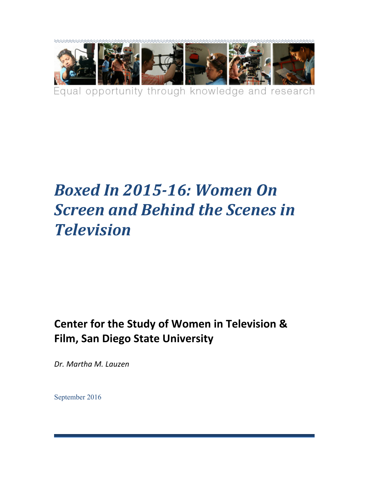

# **Boxed In 2015-16: Women On** *Screen and Behind the Scenes in Television*

# **Center for the Study of Women in Television & Film, San Diego State University**

*Dr. Martha M. Lauzen*

September 2016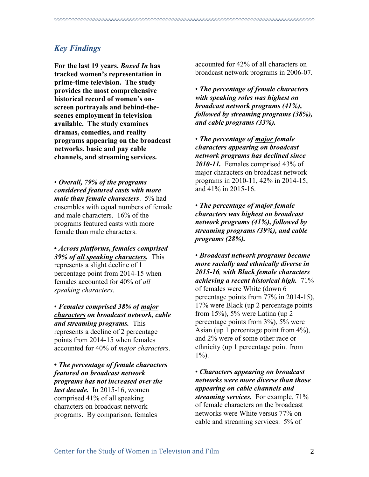# *Key Findings*

**For the last 19 years,** *Boxed In* **has tracked women's representation in prime-time television. The study provides the most comprehensive historical record of women's onscreen portrayals and behind-thescenes employment in television available. The study examines dramas, comedies, and reality programs appearing on the broadcast networks, basic and pay cable channels, and streaming services.** 

• *Overall, 79% of the programs considered featured casts with more male than female characters*. 5% had ensembles with equal numbers of female and male characters. 16% of the programs featured casts with more female than male characters.

**•** *Across platforms, females comprised 39% of all speaking characters.*This represents a slight decline of 1 percentage point from 2014-15 when females accounted for 40% of *all speaking characters*.

• *Females comprised 38% of major characters on broadcast network, cable and streaming programs.* This represents a decline of 2 percentage points from 2014-15 when females accounted for 40% of *major characters*.

**•** *The percentage of female characters featured on broadcast network programs has not increased over the last decade.* In 2015-16, women comprised 41% of all speaking characters on broadcast network programs. By comparison, females

accounted for 42% of all characters on broadcast network programs in 2006-07.

• *The percentage of female characters with speaking roles was highest on broadcast network programs (41%), followed by streaming programs (38%), and cable programs (33%).* 

• *The percentage of major female characters appearing on broadcast network programs has declined since 2010-11.* Females comprised 43% of major characters on broadcast network programs in 2010-11, 42% in 2014-15, and 41% in 2015-16.

• *The percentage of major female characters was highest on broadcast network programs (41%), followed by streaming programs (39%), and cable programs (28%).*

• *Broadcast network programs became more racially and ethnically diverse in 2015-16, with Black female characters achieving a recent historical high.* 71% of females were White (down 6 percentage points from 77% in 2014-15), 17% were Black (up 2 percentage points from 15%), 5% were Latina (up 2 percentage points from 3%), 5% were Asian (up 1 percentage point from 4%), and 2% were of some other race or ethnicity (up 1 percentage point from  $1\%$ ).

• *Characters appearing on broadcast networks were more diverse than those appearing on cable channels and streaming services.* For example, 71% of female characters on the broadcast networks were White versus 77% on cable and streaming services. 5% of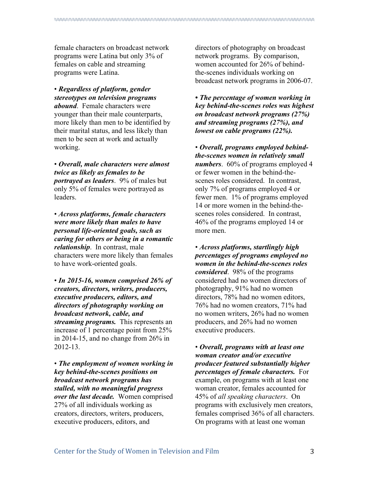female characters on broadcast network programs were Latina but only 3% of females on cable and streaming programs were Latina.

• *Regardless of platform, gender stereotypes on television programs abound*. Female characters were younger than their male counterparts, more likely than men to be identified by their marital status, and less likely than men to be seen at work and actually working.

• *Overall, male characters were almost twice as likely as females to be portrayed as leaders*. 9% of males but only 5% of females were portrayed as leaders.

• *Across platforms, female characters were more likely than males to have personal life-oriented goals, such as caring for others or being in a romantic relationship*. In contrast, male characters were more likely than females to have work-oriented goals.

• *In 2015-16, women comprised 26% of creators, directors, writers, producers, executive producers, editors, and directors of photography working on broadcast network, cable, and streaming programs.* This represents an increase of 1 percentage point from 25% in 2014-15, and no change from 26% in 2012-13.

• *The employment of women working in key behind-the-scenes positions on broadcast network programs has stalled, with no meaningful progress over the last decade.* Women comprised 27% of all individuals working as creators, directors, writers, producers, executive producers, editors, and

directors of photography on broadcast network programs. By comparison, women accounted for 26% of behindthe-scenes individuals working on broadcast network programs in 2006-07.

*• The percentage of women working in key behind-the-scenes roles was highest on broadcast network programs (27%) and streaming programs (27%), and lowest on cable programs (22%).*

• *Overall, programs employed behindthe-scenes women in relatively small numbers*. 60% of programs employed 4 or fewer women in the behind-thescenes roles considered. In contrast, only 7% of programs employed 4 or fewer men. 1% of programs employed 14 or more women in the behind-thescenes roles considered. In contrast, 46% of the programs employed 14 or more men.

• *Across platforms, startlingly high percentages of programs employed no women in the behind-the-scenes roles considered*. 98% of the programs considered had no women directors of photography, 91% had no women directors, 78% had no women editors, 76% had no women creators, 71% had no women writers, 26% had no women producers, and 26% had no women executive producers.

• *Overall, programs with at least one woman creator and/or executive producer featured substantially higher percentages of female characters.* For example, on programs with at least one woman creator, females accounted for 45% of *all speaking characters*. On programs with exclusively men creators, females comprised 36% of all characters. On programs with at least one woman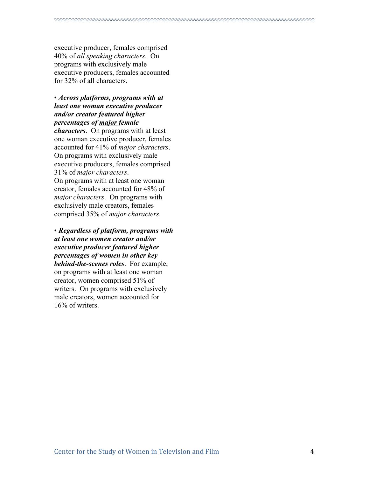executive producer, females comprised 40% of *all speaking characters*. On programs with exclusively male executive producers, females accounted for 32% of all characters.

• *Across platforms, programs with at least one woman executive producer and/or creator featured higher percentages of major female*

*characters*. On programs with at least one woman executive producer, females accounted for 41% of *major characters*. On programs with exclusively male executive producers, females comprised 31% of *major characters*. On programs with at least one woman creator, females accounted for 48% of *major characters*. On programs with exclusively male creators, females comprised 35% of *major characters*.

• *Regardless of platform, programs with at least one women creator and/or executive producer featured higher percentages of women in other key behind-the-scenes roles*. For example, on programs with at least one woman creator, women comprised 51% of writers. On programs with exclusively male creators, women accounted for 16% of writers.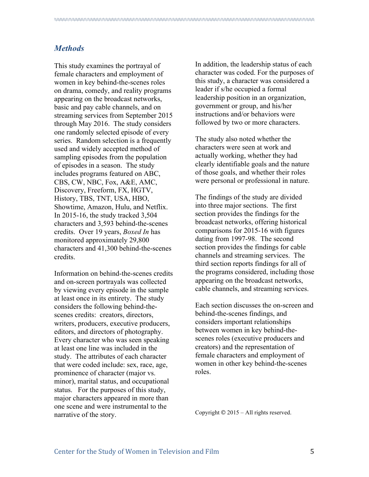#### *Methods*

This study examines the portrayal of female characters and employment of women in key behind-the-scenes roles on drama, comedy, and reality programs appearing on the broadcast networks, basic and pay cable channels, and on streaming services from September 2015 through May 2016. The study considers one randomly selected episode of every series. Random selection is a frequently used and widely accepted method of sampling episodes from the population of episodes in a season. The study includes programs featured on ABC, CBS, CW, NBC, Fox, A&E, AMC, Discovery, Freeform, FX, HGTV, History, TBS, TNT, USA, HBO, Showtime, Amazon, Hulu, and Netflix. In 2015-16, the study tracked 3,504 characters and 3,593 behind-the-scenes credits. Over 19 years, *Boxed In* has monitored approximately 29,800 characters and 41,300 behind-the-scenes credits.

Information on behind-the-scenes credits and on-screen portrayals was collected by viewing every episode in the sample at least once in its entirety. The study considers the following behind-thescenes credits: creators, directors, writers, producers, executive producers, editors, and directors of photography. Every character who was seen speaking at least one line was included in the study. The attributes of each character that were coded include: sex, race, age, prominence of character (major vs. minor), marital status, and occupational status. For the purposes of this study, major characters appeared in more than one scene and were instrumental to the narrative of the story.

In addition, the leadership status of each character was coded. For the purposes of this study, a character was considered a leader if s/he occupied a formal leadership position in an organization, government or group, and his/her instructions and/or behaviors were followed by two or more characters.

The study also noted whether the characters were seen at work and actually working, whether they had clearly identifiable goals and the nature of those goals, and whether their roles were personal or professional in nature.

The findings of the study are divided into three major sections. The first section provides the findings for the broadcast networks, offering historical comparisons for 2015-16 with figures dating from 1997-98. The second section provides the findings for cable channels and streaming services. The third section reports findings for all of the programs considered, including those appearing on the broadcast networks, cable channels, and streaming services.

Each section discusses the on-screen and behind-the-scenes findings, and considers important relationships between women in key behind-thescenes roles (executive producers and creators) and the representation of female characters and employment of women in other key behind-the-scenes roles.

Copyright © 2015 – All rights reserved.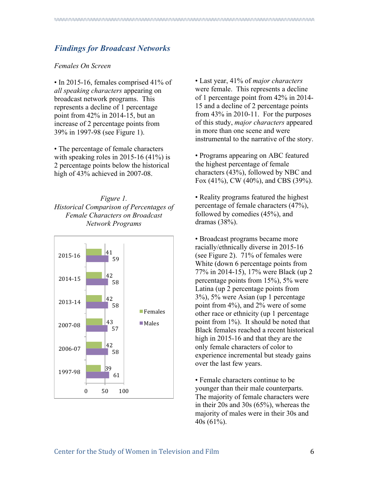## *Findings for Broadcast Networks*

#### *Females On Screen*

• In 2015-16, females comprised 41% of *all speaking characters* appearing on broadcast network programs. This represents a decline of 1 percentage point from 42% in 2014-15, but an increase of 2 percentage points from 39% in 1997-98 (see Figure 1).

• The percentage of female characters with speaking roles in 2015-16  $(41\%)$  is 2 percentage points below the historical high of 43% achieved in 2007-08.

*Figure 1. Historical Comparison of Percentages of Female Characters on Broadcast Network Programs*



• Last year, 41% of *major characters* were female. This represents a decline of 1 percentage point from 42% in 2014- 15 and a decline of 2 percentage points from 43% in 2010-11. For the purposes of this study, *major characters* appeared in more than one scene and were instrumental to the narrative of the story.

• Programs appearing on ABC featured the highest percentage of female characters (43%), followed by NBC and Fox (41%), CW (40%), and CBS (39%).

• Reality programs featured the highest percentage of female characters (47%), followed by comedies (45%), and dramas (38%).

• Broadcast programs became more racially/ethnically diverse in 2015-16 (see Figure 2). 71% of females were White (down 6 percentage points from 77% in 2014-15), 17% were Black (up 2 percentage points from 15%), 5% were Latina (up 2 percentage points from 3%), 5% were Asian (up 1 percentage point from 4%), and 2% were of some other race or ethnicity (up 1 percentage point from 1%). It should be noted that Black females reached a recent historical high in 2015-16 and that they are the only female characters of color to experience incremental but steady gains over the last few years.

• Female characters continue to be younger than their male counterparts. The majority of female characters were in their 20s and 30s (65%), whereas the majority of males were in their 30s and 40s (61%).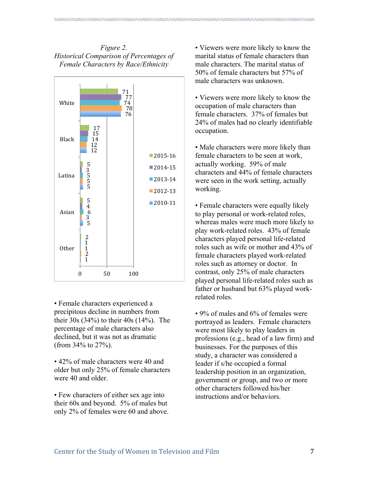*Figure 2. Historical Comparison of Percentages of Female Characters by Race/Ethnicity*



• Female characters experienced a precipitous decline in numbers from their 30s (34%) to their 40s (14%). The percentage of male characters also declined, but it was not as dramatic (from 34% to 27%).

• 42% of male characters were 40 and older but only 25% of female characters were 40 and older.

• Few characters of either sex age into their 60s and beyond. 5% of males but only 2% of females were 60 and above. • Viewers were more likely to know the marital status of female characters than male characters. The marital status of 50% of female characters but 57% of male characters was unknown.

• Viewers were more likely to know the occupation of male characters than female characters. 37% of females but 24% of males had no clearly identifiable occupation.

• Male characters were more likely than female characters to be seen at work, actually working. 59% of male characters and 44% of female characters were seen in the work setting, actually working.

• Female characters were equally likely to play personal or work-related roles, whereas males were much more likely to play work-related roles. 43% of female characters played personal life-related roles such as wife or mother and 43% of female characters played work-related roles such as attorney or doctor. In contrast, only 25% of male characters played personal life-related roles such as father or husband but 63% played workrelated roles.

• 9% of males and 6% of females were portrayed as leaders. Female characters were most likely to play leaders in professions (e.g., head of a law firm) and businesses. For the purposes of this study, a character was considered a leader if s/he occupied a formal leadership position in an organization, government or group, and two or more other characters followed his/her instructions and/or behaviors.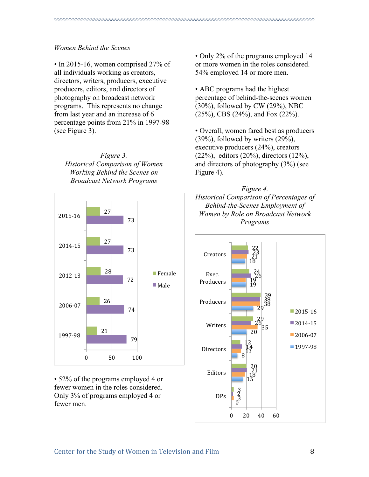#### *Women Behind the Scenes*

• In 2015-16, women comprised 27% of all individuals working as creators, directors, writers, producers, executive producers, editors, and directors of photography on broadcast network programs. This represents no change from last year and an increase of 6 percentage points from 21% in 1997-98 (see Figure 3).

*Figure 3. Historical Comparison of Women Working Behind the Scenes on Broadcast Network Programs*



• 52% of the programs employed 4 or fewer women in the roles considered. Only 3% of programs employed 4 or fewer men.

• Only 2% of the programs employed 14 or more women in the roles considered. 54% employed 14 or more men.

• ABC programs had the highest percentage of behind-the-scenes women (30%), followed by CW (29%), NBC (25%), CBS (24%), and Fox (22%).

• Overall, women fared best as producers (39%), followed by writers (29%), executive producers (24%), creators (22%), editors (20%), directors (12%), and directors of photography (3%) (see Figure 4).



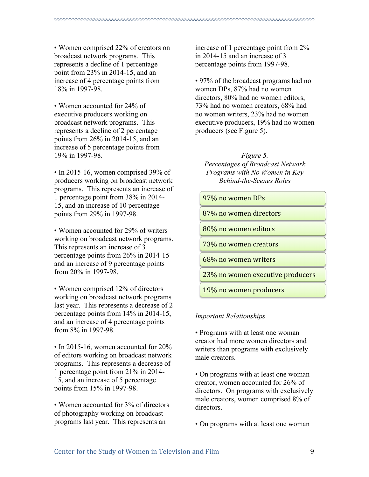• Women comprised 22% of creators on broadcast network programs. This represents a decline of 1 percentage point from 23% in 2014-15, and an increase of 4 percentage points from 18% in 1997-98.

• Women accounted for 24% of executive producers working on broadcast network programs. This represents a decline of 2 percentage points from 26% in 2014-15, and an increase of 5 percentage points from 19% in 1997-98.

• In 2015-16, women comprised 39% of producers working on broadcast network programs. This represents an increase of 1 percentage point from 38% in 2014- 15, and an increase of 10 percentage points from 29% in 1997-98.

• Women accounted for 29% of writers working on broadcast network programs. This represents an increase of 3 percentage points from 26% in 2014-15 and an increase of 9 percentage points from 20% in 1997-98.

• Women comprised 12% of directors working on broadcast network programs last year. This represents a decrease of 2 percentage points from 14% in 2014-15, and an increase of 4 percentage points from 8% in 1997-98.

• In 2015-16, women accounted for 20% of editors working on broadcast network programs. This represents a decrease of 1 percentage point from 21% in 2014- 15, and an increase of 5 percentage points from 15% in 1997-98.

• Women accounted for 3% of directors of photography working on broadcast programs last year. This represents an

increase of 1 percentage point from 2% in 2014-15 and an increase of 3 percentage points from 1997-98.

• 97% of the broadcast programs had no women DPs, 87% had no women directors, 80% had no women editors, 73% had no women creators, 68% had no women writers, 23% had no women executive producers, 19% had no women producers (see Figure 5).

*Figure 5. Percentages of Broadcast Network Programs with No Women in Key Behind-the-Scenes Roles*

97% no women DPs 

87% no women directors

80% no women editors

73% no women creators

68% no women writers

23% no women executive producers

19% no women producers

#### *Important Relationships*

• Programs with at least one woman creator had more women directors and writers than programs with exclusively male creators.

• On programs with at least one woman creator, women accounted for 26% of directors. On programs with exclusively male creators, women comprised 8% of directors.

• On programs with at least one woman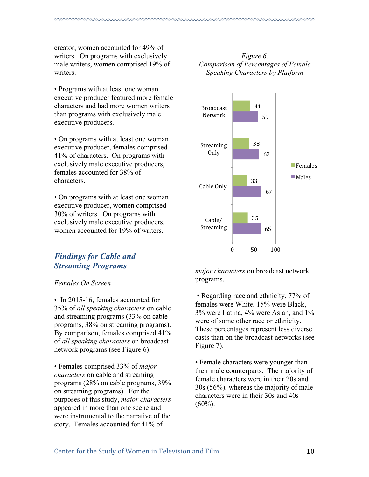creator, women accounted for 49% of writers. On programs with exclusively male writers, women comprised 19% of writers.

• Programs with at least one woman executive producer featured more female characters and had more women writers than programs with exclusively male executive producers.

• On programs with at least one woman executive producer, females comprised 41% of characters. On programs with exclusively male executive producers, females accounted for 38% of characters.

• On programs with at least one woman executive producer, women comprised 30% of writers. On programs with exclusively male executive producers, women accounted for 19% of writers.

# *Findings for Cable and Streaming Programs*

#### *Females On Screen*

• In 2015-16, females accounted for 35% of *all speaking characters* on cable and streaming programs (33% on cable programs, 38% on streaming programs). By comparison, females comprised 41% of *all speaking characters* on broadcast network programs (see Figure 6).

• Females comprised 33% of *major characters* on cable and streaming programs (28% on cable programs, 39% on streaming programs). For the purposes of this study, *major characters* appeared in more than one scene and were instrumental to the narrative of the story. Females accounted for 41% of

#### *Figure 6. Comparison of Percentages of Female Speaking Characters by Platform*



*major characters* on broadcast network programs.

• Regarding race and ethnicity, 77% of females were White, 15% were Black, 3% were Latina, 4% were Asian, and 1% were of some other race or ethnicity. These percentages represent less diverse casts than on the broadcast networks (see Figure 7).

• Female characters were younger than their male counterparts. The majority of female characters were in their 20s and 30s (56%), whereas the majority of male characters were in their 30s and 40s  $(60\%)$ .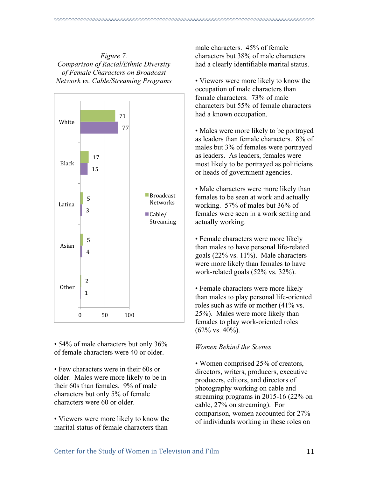*Figure 7. Comparison of Racial/Ethnic Diversity of Female Characters on Broadcast Network vs. Cable/Streaming Programs*



• 54% of male characters but only 36% of female characters were 40 or older.

• Few characters were in their 60s or older. Males were more likely to be in their 60s than females. 9% of male characters but only 5% of female characters were 60 or older.

• Viewers were more likely to know the marital status of female characters than

male characters. 45% of female characters but 38% of male characters had a clearly identifiable marital status.

• Viewers were more likely to know the occupation of male characters than female characters. 73% of male characters but 55% of female characters had a known occupation.

• Males were more likely to be portrayed as leaders than female characters. 8% of males but 3% of females were portrayed as leaders. As leaders, females were most likely to be portrayed as politicians or heads of government agencies.

• Male characters were more likely than females to be seen at work and actually working. 57% of males but 36% of females were seen in a work setting and actually working.

• Female characters were more likely than males to have personal life-related goals (22% vs. 11%). Male characters were more likely than females to have work-related goals (52% vs. 32%).

• Female characters were more likely than males to play personal life-oriented roles such as wife or mother (41% vs. 25%). Males were more likely than females to play work-oriented roles (62% vs. 40%).

#### *Women Behind the Scenes*

• Women comprised 25% of creators, directors, writers, producers, executive producers, editors, and directors of photography working on cable and streaming programs in 2015-16 (22% on cable, 27% on streaming). For comparison, women accounted for 27% of individuals working in these roles on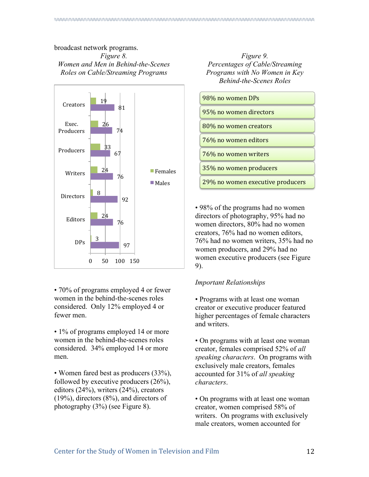#### broadcast network programs. *Figure 8. Women and Men in Behind-the-Scenes Roles on Cable/Streaming Programs*



• 70% of programs employed 4 or fewer women in the behind-the-scenes roles considered. Only 12% employed 4 or fewer men.

• 1% of programs employed 14 or more women in the behind-the-scenes roles considered. 34% employed 14 or more men.

• Women fared best as producers (33%), followed by executive producers (26%), editors (24%), writers (24%), creators (19%), directors (8%), and directors of photography (3%) (see Figure 8).

*Figure 9. Percentages of Cable/Streaming Programs with No Women in Key Behind-the-Scenes Roles*



• 98% of the programs had no women directors of photography, 95% had no women directors, 80% had no women creators, 76% had no women editors, 76% had no women writers, 35% had no women producers, and 29% had no women executive producers (see Figure 9).

## *Important Relationships*

• Programs with at least one woman creator or executive producer featured higher percentages of female characters and writers.

• On programs with at least one woman creator, females comprised 52% of *all speaking characters*. On programs with exclusively male creators, females accounted for 31% of *all speaking characters*.

• On programs with at least one woman creator, women comprised 58% of writers. On programs with exclusively male creators, women accounted for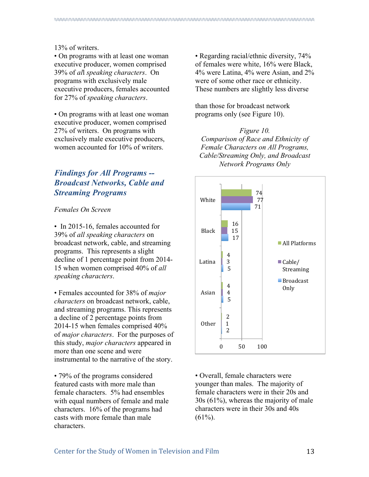#### 13% of writers.

• On programs with at least one woman executive producer, women comprised 39% of *al*l *speaking characters*. On programs with exclusively male executive producers, females accounted for 27% of *speaking characters*.

• On programs with at least one woman executive producer, women comprised 27% of writers. On programs with exclusively male executive producers, women accounted for 10% of writers.

# *Findings for All Programs -- Broadcast Networks, Cable and Streaming Programs*

*Females On Screen* 

• In 2015-16, females accounted for 39% of *all speaking characters* on broadcast network, cable, and streaming programs. This represents a slight decline of 1 percentage point from 2014- 15 when women comprised 40% of *all speaking characters*.

• Females accounted for 38% of *major characters* on broadcast network, cable, and streaming programs. This represents a decline of 2 percentage points from 2014-15 when females comprised 40% of *major characters*. For the purposes of this study, *major characters* appeared in more than one scene and were instrumental to the narrative of the story.

• 79% of the programs considered featured casts with more male than female characters. 5% had ensembles with equal numbers of female and male characters. 16% of the programs had casts with more female than male characters.

• Regarding racial/ethnic diversity, 74% of females were white, 16% were Black, 4% were Latina, 4% were Asian, and 2% were of some other race or ethnicity. These numbers are slightly less diverse

than those for broadcast network programs only (see Figure 10).

*Figure 10. Comparison of Race and Ethnicity of Female Characters on All Programs, Cable/Streaming Only, and Broadcast Network Programs Only*



• Overall, female characters were younger than males. The majority of female characters were in their 20s and 30s (61%), whereas the majority of male characters were in their 30s and 40s  $(61\%)$ .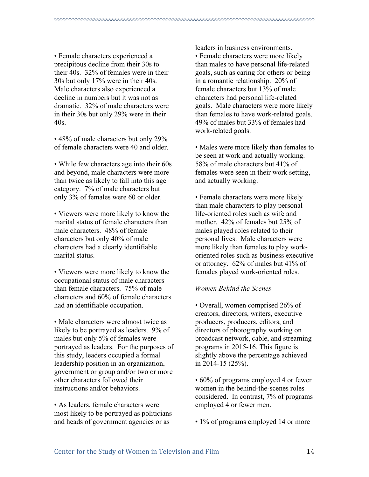• Female characters experienced a precipitous decline from their 30s to their 40s. 32% of females were in their 30s but only 17% were in their 40s. Male characters also experienced a decline in numbers but it was not as dramatic. 32% of male characters were in their 30s but only 29% were in their 40s.

• 48% of male characters but only 29% of female characters were 40 and older.

• While few characters age into their 60s and beyond, male characters were more than twice as likely to fall into this age category. 7% of male characters but only 3% of females were 60 or older.

• Viewers were more likely to know the marital status of female characters than male characters. 48% of female characters but only 40% of male characters had a clearly identifiable marital status.

• Viewers were more likely to know the occupational status of male characters than female characters. 75% of male characters and 60% of female characters had an identifiable occupation.

• Male characters were almost twice as likely to be portrayed as leaders. 9% of males but only 5% of females were portrayed as leaders. For the purposes of this study, leaders occupied a formal leadership position in an organization, government or group and/or two or more other characters followed their instructions and/or behaviors.

• As leaders, female characters were most likely to be portrayed as politicians and heads of government agencies or as

leaders in business environments. • Female characters were more likely than males to have personal life-related goals, such as caring for others or being in a romantic relationship. 20% of female characters but 13% of male characters had personal life-related goals. Male characters were more likely than females to have work-related goals. 49% of males but 33% of females had work-related goals.

• Males were more likely than females to be seen at work and actually working. 58% of male characters but 41% of females were seen in their work setting, and actually working.

• Female characters were more likely than male characters to play personal life-oriented roles such as wife and mother. 42% of females but 25% of males played roles related to their personal lives. Male characters were more likely than females to play workoriented roles such as business executive or attorney. 62% of males but 41% of females played work-oriented roles.

#### *Women Behind the Scenes*

• Overall, women comprised 26% of creators, directors, writers, executive producers, producers, editors, and directors of photography working on broadcast network, cable, and streaming programs in 2015-16. This figure is slightly above the percentage achieved in 2014-15 (25%).

• 60% of programs employed 4 or fewer women in the behind-the-scenes roles considered. In contrast, 7% of programs employed 4 or fewer men.

• 1% of programs employed 14 or more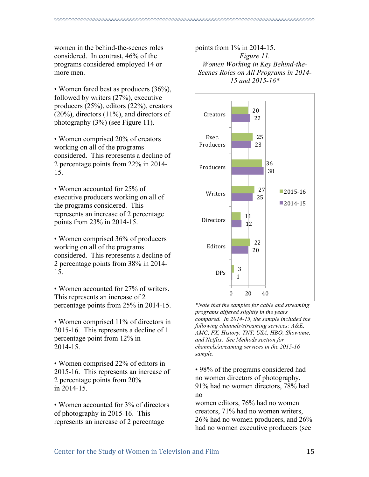women in the behind-the-scenes roles considered. In contrast, 46% of the programs considered employed 14 or more men.

• Women fared best as producers (36%), followed by writers (27%), executive producers (25%), editors (22%), creators  $(20\%)$ , directors  $(11\%)$ , and directors of photography (3%) (see Figure 11).

• Women comprised 20% of creators working on all of the programs considered. This represents a decline of 2 percentage points from 22% in 2014- 15.

• Women accounted for 25% of executive producers working on all of the programs considered. This represents an increase of 2 percentage points from 23% in 2014-15.

• Women comprised 36% of producers working on all of the programs considered. This represents a decline of 2 percentage points from 38% in 2014- 15.

• Women accounted for 27% of writers. This represents an increase of 2 percentage points from 25% in 2014-15.

• Women comprised 11% of directors in 2015-16. This represents a decline of 1 percentage point from 12% in 2014-15.

• Women comprised 22% of editors in 2015-16. This represents an increase of 2 percentage points from 20% in 2014-15.

• Women accounted for 3% of directors of photography in 2015-16. This represents an increase of 2 percentage

points from 1% in 2014-15. *Figure 11. Women Working in Key Behind-the-Scenes Roles on All Programs in 2014- 15 and 2015-16\**



*\*Note that the samples for cable and streaming programs differed slightly in the years compared. In 2014-15, the sample included the following channels/streaming services: A&E, AMC, FX, History, TNT, USA, HBO, Showtime, and Netflix. See Methods section for channels/streaming services in the 2015-16 sample.*

• 98% of the programs considered had no women directors of photography, 91% had no women directors, 78% had no

women editors, 76% had no women creators, 71% had no women writers, 26% had no women producers, and 26% had no women executive producers (see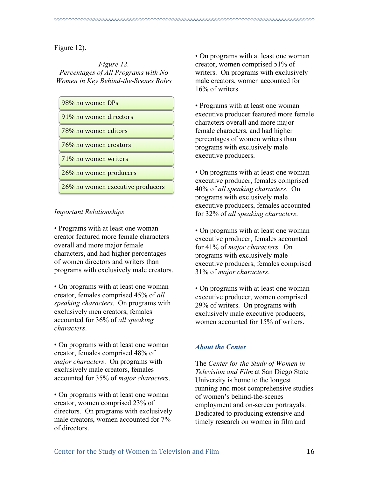Figure 12).

*Figure 12. Percentages of All Programs with No Women in Key Behind-the-Scenes Roles*

98% no women DPs 91% no women directors 78% no women editors 76% no women creators 71% no women writers 26% no women producers

26% no women executive producers

#### *Important Relationships*

• Programs with at least one woman creator featured more female characters overall and more major female characters, and had higher percentages of women directors and writers than programs with exclusively male creators.

• On programs with at least one woman creator, females comprised 45% of *all speaking characters*. On programs with exclusively men creators, females accounted for 36% of *all speaking characters*.

• On programs with at least one woman creator, females comprised 48% of *major characters*. On programs with exclusively male creators, females accounted for 35% of *major characters*.

• On programs with at least one woman creator, women comprised 23% of directors. On programs with exclusively male creators, women accounted for 7% of directors.

• On programs with at least one woman creator, women comprised 51% of writers. On programs with exclusively male creators, women accounted for 16% of writers.

• Programs with at least one woman executive producer featured more female characters overall and more major female characters, and had higher percentages of women writers than programs with exclusively male executive producers.

• On programs with at least one woman executive producer, females comprised 40% of *all speaking characters*. On programs with exclusively male executive producers, females accounted for 32% of *all speaking characters*.

• On programs with at least one woman executive producer, females accounted for 41% of *major characters*. On programs with exclusively male executive producers, females comprised 31% of *major characters*.

• On programs with at least one woman executive producer, women comprised 29% of writers. On programs with exclusively male executive producers, women accounted for 15% of writers.

#### *About the Center*

The *Center for the Study of Women in Television and Film* at San Diego State University is home to the longest running and most comprehensive studies of women's behind-the-scenes employment and on-screen portrayals. Dedicated to producing extensive and timely research on women in film and